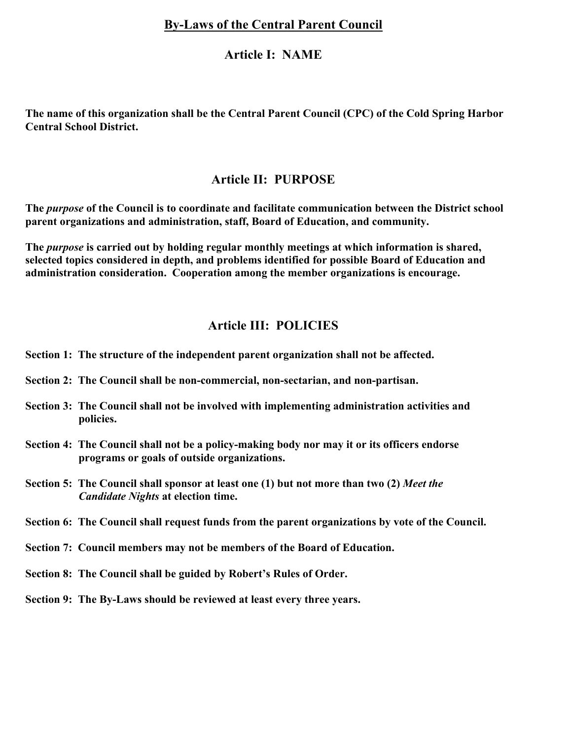# **By-Laws of the Central Parent Council**

## **Article I: NAME**

**The name of this organization shall be the Central Parent Council (CPC) of the Cold Spring Harbor Central School District.**

# **Article II: PURPOSE**

**The** *purpose* **of the Council is to coordinate and facilitate communication between the District school parent organizations and administration, staff, Board of Education, and community.**

**The** *purpose* **is carried out by holding regular monthly meetings at which information is shared, selected topics considered in depth, and problems identified for possible Board of Education and administration consideration. Cooperation among the member organizations is encourage.**

# **Article III: POLICIES**

- **Section 1: The structure of the independent parent organization shall not be affected.**
- **Section 2: The Council shall be non-commercial, non-sectarian, and non-partisan.**
- **Section 3: The Council shall not be involved with implementing administration activities and policies.**
- **Section 4: The Council shall not be a policy-making body nor may it or its officers endorse programs or goals of outside organizations.**
- **Section 5: The Council shall sponsor at least one (1) but not more than two (2)** *Meet the* *Candidate Nights* **at election time.**
- **Section 6: The Council shall request funds from the parent organizations by vote of the Council.**
- **Section 7: Council members may not be members of the Board of Education.**
- **Section 8: The Council shall be guided by Robert's Rules of Order.**
- **Section 9: The By-Laws should be reviewed at least every three years.**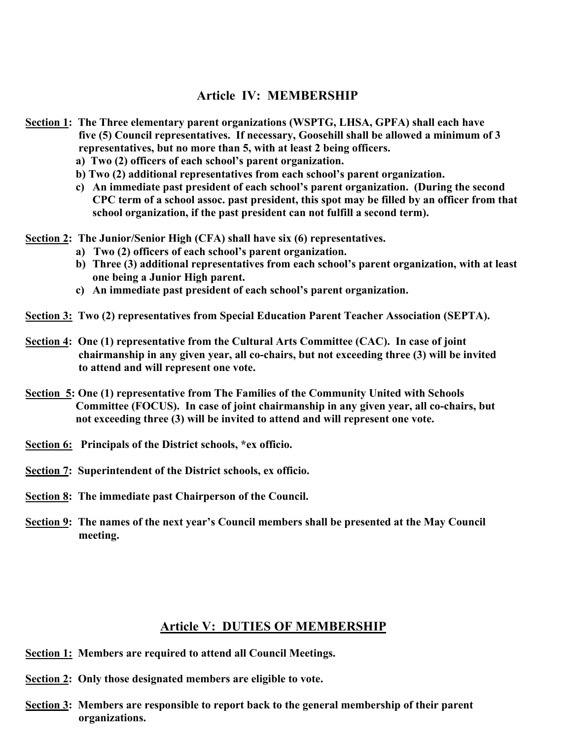#### **Article IV: MEMBERSHIP**

- **Section 1: The Three elementary parent organizations (WSPTG, LHSA, GPFA) shall each have five (5) Council representatives. If necessary, Goosehill shall be allowed a minimum of 3 representatives, but no more than 5, with at least 2 being officers.**
	- **a) Two (2) officers of each school's parent organization.**
	- **b) Two (2) additional representatives from each school's parent organization.**
	- **c) An immediate past president of each school's parent organization. (During the second CPC term of a school assoc. past president, this spot may be filled by an officer from that school organization, if the past president can not fulfill a second term).**
- **Section 2: The Junior/Senior High (CFA) shall have six (6) representatives.**
	- **a) Two (2) officers of each school's parent organization.**
	- **b) Three (3) additional representatives from each school's parent organization, with at least one being a Junior High parent.**
	- **c) An immediate past president of each school's parent organization.**
- **Section 3: Two (2) representatives from Special Education Parent Teacher Association (SEPTA).**
- **Section 4: One (1) representative from the Cultural Arts Committee (CAC). In case of joint chairmanship in any given year, all co-chairs, but not exceeding three (3) will be invited to attend and will represent one vote.**
- **Section 5: One (1) representative from The Families of the Community United with Schools Committee (FOCUS). In case of joint chairmanship in any given year, all co-chairs, but not exceeding three (3) will be invited to attend and will represent one vote.**
- **Section 6: Principals of the District schools, \*ex officio.**
- **Section 7: Superintendent of the District schools, ex officio.**
- **Section 8: The immediate past Chairperson of the Council.**
- **Section 9: The names of the next year's Council members shall be presented at the May Council meeting.**

#### **Article V: DUTIES OF MEMBERSHIP**

- **Section 1: Members are required to attend all Council Meetings.**
- **Section 2: Only those designated members are eligible to vote.**
- **Section 3: Members are responsible to report back to the general membership of their parent organizations.**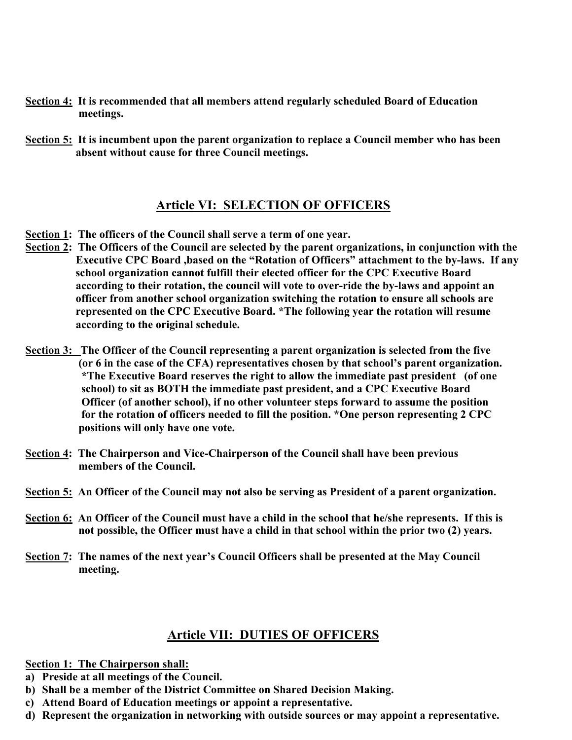- **Section 4: It is recommended that all members attend regularly scheduled Board of Education meetings.**
- **Section 5: It is incumbent upon the parent organization to replace a Council member who has been absent without cause for three Council meetings.**

# **Article VI: SELECTION OF OFFICERS**

- **Section 1: The officers of the Council shall serve a term of one year.**
- **Section 2: The Officers of the Council are selected by the parent organizations, in conjunction with the Executive CPC Board ,based on the "Rotation of Officers" attachment to the by-laws. If any school organization cannot fulfill their elected officer for the CPC Executive Board according to their rotation, the council will vote to over-ride the by-laws and appoint an officer from another school organization switching the rotation to ensure all schools are represented on the CPC Executive Board. \*The following year the rotation will resume according to the original schedule.**
- **Section 3: The Officer of the Council representing a parent organization is selected from the five (or 6 in the case of the CFA) representatives chosen by that school's parent organization. \*The Executive Board reserves the right to allow the immediate past president (of one school) to sit as BOTH the immediate past president, and a CPC Executive Board Officer (of another school), if no other volunteer steps forward to assume the position for the rotation of officers needed to fill the position. \*One person representing 2 CPC positions will only have one vote.**
- **Section 4: The Chairperson and Vice-Chairperson of the Council shall have been previous members of the Council.**
- **Section 5: An Officer of the Council may not also be serving as President of a parent organization.**
- **Section 6: An Officer of the Council must have a child in the school that he/she represents. If this is not possible, the Officer must have a child in that school within the prior two (2) years.**
- **Section 7: The names of the next year's Council Officers shall be presented at the May Council meeting.**

## **Article VII: DUTIES OF OFFICERS**

**Section 1: The Chairperson shall:**

- **a) Preside at all meetings of the Council.**
- **b) Shall be a member of the District Committee on Shared Decision Making.**
- **c) Attend Board of Education meetings or appoint a representative.**
- **d) Represent the organization in networking with outside sources or may appoint a representative.**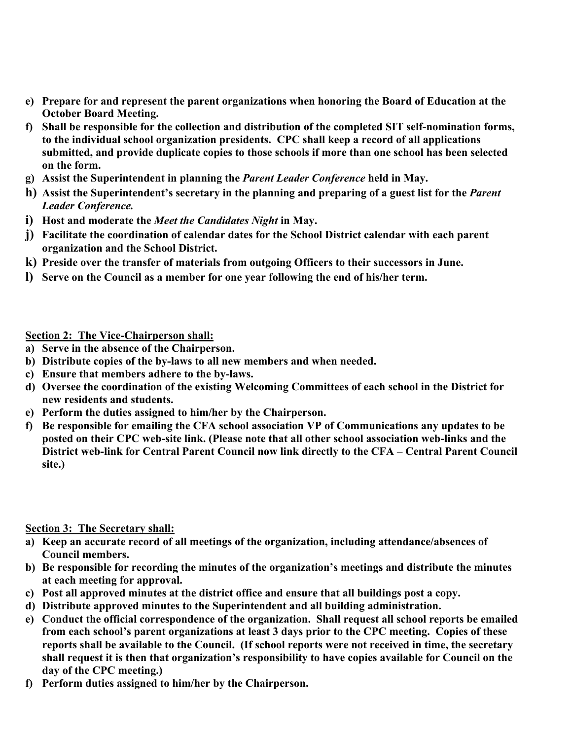- **e) Prepare for and represent the parent organizations when honoring the Board of Education at the October Board Meeting.**
- **f) Shall be responsible for the collection and distribution of the completed SIT self-nomination forms, to the individual school organization presidents. CPC shall keep a record of all applications submitted, and provide duplicate copies to those schools if more than one school has been selected on the form.**
- **g) Assist the Superintendent in planning the** *Parent Leader Conference* **held in May.**
- **h) Assist the Superintendent's secretary in the planning and preparing of a guest list for the** *Parent Leader Conference.*
- **i) Host and moderate the** *Meet the Candidates Night* **in May.**
- **j) Facilitate the coordination of calendar dates for the School District calendar with each parent organization and the School District.**
- **k) Preside over the transfer of materials from outgoing Officers to their successors in June.**
- **l) Serve on the Council as a member for one year following the end of his/her term.**

#### **Section 2: The Vice-Chairperson shall:**

- **a) Serve in the absence of the Chairperson.**
- **b) Distribute copies of the by-laws to all new members and when needed.**
- **c) Ensure that members adhere to the by-laws.**
- **d) Oversee the coordination of the existing Welcoming Committees of each school in the District for new residents and students.**
- **e) Perform the duties assigned to him/her by the Chairperson.**
- **f) Be responsible for emailing the CFA school association VP of Communications any updates to be posted on their CPC web-site link. (Please note that all other school association web-links and the District web-link for Central Parent Council now link directly to the CFA – Central Parent Council site.)**

#### **Section 3: The Secretary shall:**

- **a) Keep an accurate record of all meetings of the organization, including attendance/absences of Council members.**
- **b) Be responsible for recording the minutes of the organization's meetings and distribute the minutes at each meeting for approval.**
- **c) Post all approved minutes at the district office and ensure that all buildings post a copy.**
- **d) Distribute approved minutes to the Superintendent and all building administration.**
- **e) Conduct the official correspondence of the organization. Shall request all school reports be emailed from each school's parent organizations at least 3 days prior to the CPC meeting. Copies of these reports shall be available to the Council. (If school reports were not received in time, the secretary shall request it is then that organization's responsibility to have copies available for Council on the day of the CPC meeting.)**
- **f) Perform duties assigned to him/her by the Chairperson.**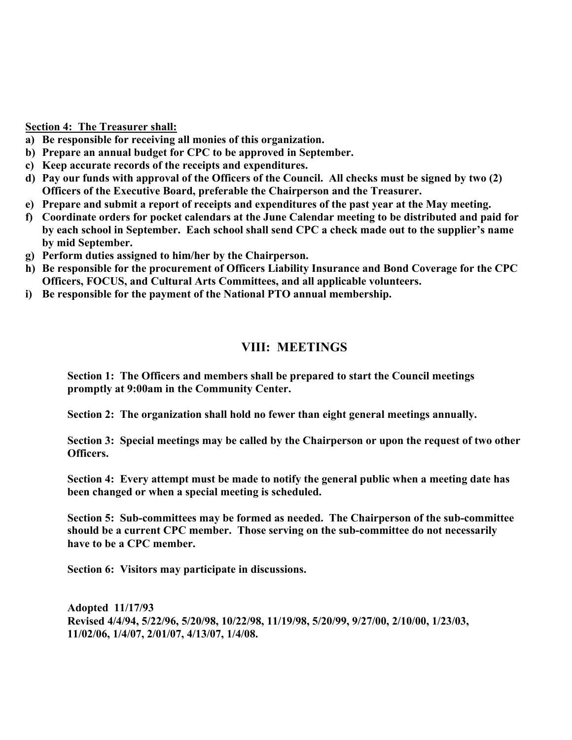**Section 4: The Treasurer shall:**

- **a) Be responsible for receiving all monies of this organization.**
- **b) Prepare an annual budget for CPC to be approved in September.**
- **c) Keep accurate records of the receipts and expenditures.**
- **d) Pay our funds with approval of the Officers of the Council. All checks must be signed by two (2) Officers of the Executive Board, preferable the Chairperson and the Treasurer.**
- **e) Prepare and submit a report of receipts and expenditures of the past year at the May meeting.**
- **f) Coordinate orders for pocket calendars at the June Calendar meeting to be distributed and paid for by each school in September. Each school shall send CPC a check made out to the supplier's name by mid September.**
- **g) Perform duties assigned to him/her by the Chairperson.**
- **h) Be responsible for the procurement of Officers Liability Insurance and Bond Coverage for the CPC Officers, FOCUS, and Cultural Arts Committees, and all applicable volunteers.**
- **i) Be responsible for the payment of the National PTO annual membership.**

# **VIII: MEETINGS**

**Section 1: The Officers and members shall be prepared to start the Council meetings promptly at 9:00am in the Community Center.**

**Section 2: The organization shall hold no fewer than eight general meetings annually.**

**Section 3: Special meetings may be called by the Chairperson or upon the request of two other Officers.**

**Section 4: Every attempt must be made to notify the general public when a meeting date has been changed or when a special meeting is scheduled.**

**Section 5: Sub-committees may be formed as needed. The Chairperson of the sub-committee should be a current CPC member. Those serving on the sub-committee do not necessarily have to be a CPC member.**

**Section 6: Visitors may participate in discussions.**

**Adopted 11/17/93 Revised 4/4/94, 5/22/96, 5/20/98, 10/22/98, 11/19/98, 5/20/99, 9/27/00, 2/10/00, 1/23/03, 11/02/06, 1/4/07, 2/01/07, 4/13/07, 1/4/08.**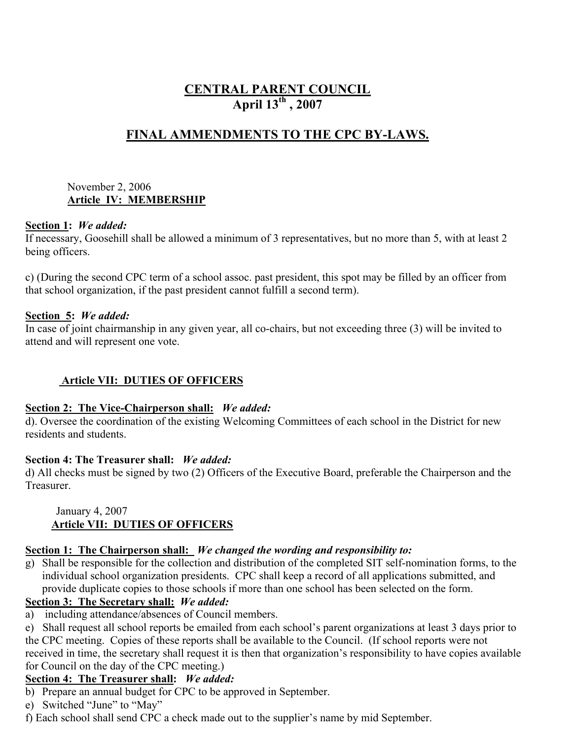# **CENTRAL PARENT COUNCIL April 13th , 2007**

# **FINAL AMMENDMENTS TO THE CPC BY-LAWS.**

#### November 2, 2006 **Article IV: MEMBERSHIP**

#### **Section 1:** *We added:*

If necessary, Goosehill shall be allowed a minimum of 3 representatives, but no more than 5, with at least 2 being officers.

c) (During the second CPC term of a school assoc. past president, this spot may be filled by an officer from that school organization, if the past president cannot fulfill a second term).

#### **Section 5:** *We added:*

In case of joint chairmanship in any given year, all co-chairs, but not exceeding three (3) will be invited to attend and will represent one vote.

## **Article VII: DUTIES OF OFFICERS**

#### **Section 2: The Vice-Chairperson shall:** *We added:*

d). Oversee the coordination of the existing Welcoming Committees of each school in the District for new residents and students.

## **Section 4: The Treasurer shall:** *We added:*

d) All checks must be signed by two (2) Officers of the Executive Board, preferable the Chairperson and the **Treasurer** 

#### January 4, 2007  **Article VII: DUTIES OF OFFICERS**

## **Section 1: The Chairperson shall:** *We changed the wording and responsibility to:*

g) Shall be responsible for the collection and distribution of the completed SIT self-nomination forms, to the individual school organization presidents. CPC shall keep a record of all applications submitted, and provide duplicate copies to those schools if more than one school has been selected on the form.

## **Section 3: The Secretary shall:** *We added:*

a) including attendance/absences of Council members.

e) Shall request all school reports be emailed from each school's parent organizations at least 3 days prior to the CPC meeting. Copies of these reports shall be available to the Council. (If school reports were not received in time, the secretary shall request it is then that organization's responsibility to have copies available for Council on the day of the CPC meeting.)

## **Section 4: The Treasurer shall:** *We added:*

- b) Prepare an annual budget for CPC to be approved in September.
- e) Switched "June" to "May"
- f) Each school shall send CPC a check made out to the supplier's name by mid September.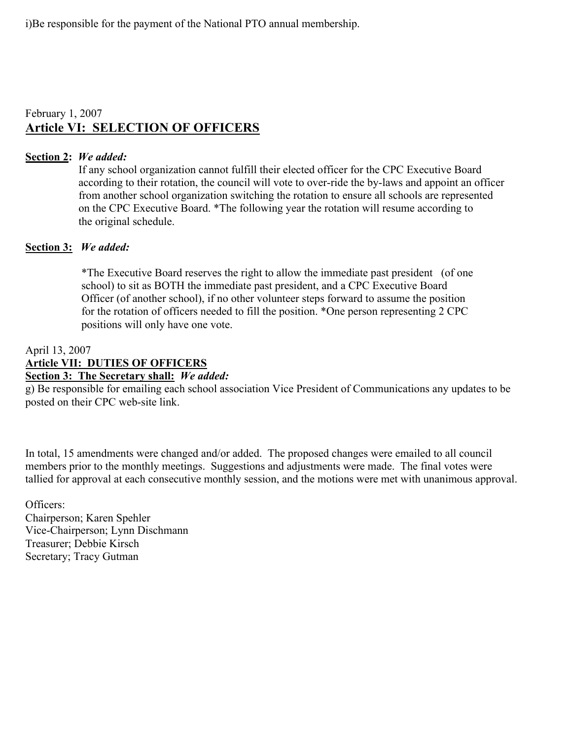i)Be responsible for the payment of the National PTO annual membership.

# February 1, 2007 **Article VI: SELECTION OF OFFICERS**

#### **Section 2:** *We added:*

If any school organization cannot fulfill their elected officer for the CPC Executive Board according to their rotation, the council will vote to over-ride the by-laws and appoint an officer from another school organization switching the rotation to ensure all schools are represented on the CPC Executive Board. \*The following year the rotation will resume according to the original schedule.

#### **Section 3:** *We added:*

\*The Executive Board reserves the right to allow the immediate past president (of one school) to sit as BOTH the immediate past president, and a CPC Executive Board Officer (of another school), if no other volunteer steps forward to assume the position for the rotation of officers needed to fill the position. \*One person representing 2 CPC positions will only have one vote.

#### April 13, 2007

#### **Article VII: DUTIES OF OFFICERS**

# **Section 3: The Secretary shall:** *We added:*

g) Be responsible for emailing each school association Vice President of Communications any updates to be posted on their CPC web-site link.

In total, 15 amendments were changed and/or added. The proposed changes were emailed to all council members prior to the monthly meetings. Suggestions and adjustments were made. The final votes were tallied for approval at each consecutive monthly session, and the motions were met with unanimous approval.

Officers: Chairperson; Karen Spehler Vice-Chairperson; Lynn Dischmann Treasurer; Debbie Kirsch Secretary; Tracy Gutman